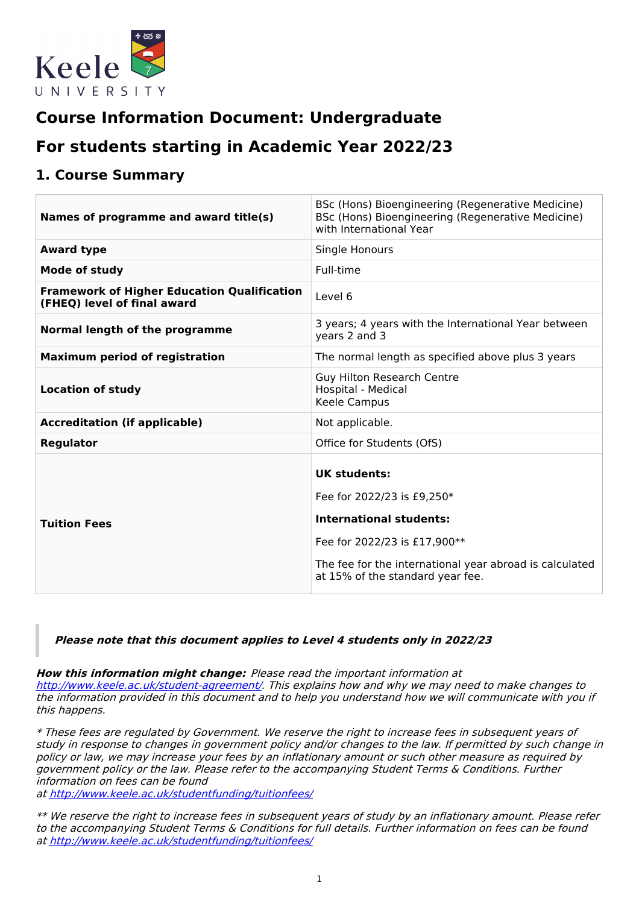

# **Course Information Document: Undergraduate**

# **For students starting in Academic Year 2022/23**

# **1. Course Summary**

| Names of programme and award title(s)                                             | BSc (Hons) Bioengineering (Regenerative Medicine)<br>BSc (Hons) Bioengineering (Regenerative Medicine)<br>with International Year                                                                                  |
|-----------------------------------------------------------------------------------|--------------------------------------------------------------------------------------------------------------------------------------------------------------------------------------------------------------------|
| <b>Award type</b>                                                                 | Single Honours                                                                                                                                                                                                     |
| <b>Mode of study</b>                                                              | Full-time                                                                                                                                                                                                          |
| <b>Framework of Higher Education Qualification</b><br>(FHEQ) level of final award | Level 6                                                                                                                                                                                                            |
| Normal length of the programme                                                    | 3 years; 4 years with the International Year between<br>years 2 and 3                                                                                                                                              |
| <b>Maximum period of registration</b>                                             | The normal length as specified above plus 3 years                                                                                                                                                                  |
| <b>Location of study</b>                                                          | <b>Guy Hilton Research Centre</b><br>Hospital - Medical<br>Keele Campus                                                                                                                                            |
| <b>Accreditation (if applicable)</b>                                              | Not applicable.                                                                                                                                                                                                    |
| <b>Regulator</b>                                                                  | Office for Students (OfS)                                                                                                                                                                                          |
| <b>Tuition Fees</b>                                                               | <b>UK students:</b><br>Fee for 2022/23 is £9,250*<br><b>International students:</b><br>Fee for 2022/23 is £17,900**<br>The fee for the international year abroad is calculated<br>at 15% of the standard year fee. |

**Please note that this document applies to Level 4 students only in 2022/23**

**How this information might change:** Please read the important information at

<http://www.keele.ac.uk/student-agreement/>. This explains how and why we may need to make changes to the information provided in this document and to help you understand how we will communicate with you if this happens.

\* These fees are regulated by Government. We reserve the right to increase fees in subsequent years of study in response to changes in government policy and/or changes to the law. If permitted by such change in policy or law, we may increase your fees by an inflationary amount or such other measure as required by government policy or the law. Please refer to the accompanying Student Terms & Conditions. Further information on fees can be found

at <http://www.keele.ac.uk/studentfunding/tuitionfees/>

\*\* We reserve the right to increase fees in subsequent years of study by an inflationary amount. Please refer to the accompanying Student Terms & Conditions for full details. Further information on fees can be found at <http://www.keele.ac.uk/studentfunding/tuitionfees/>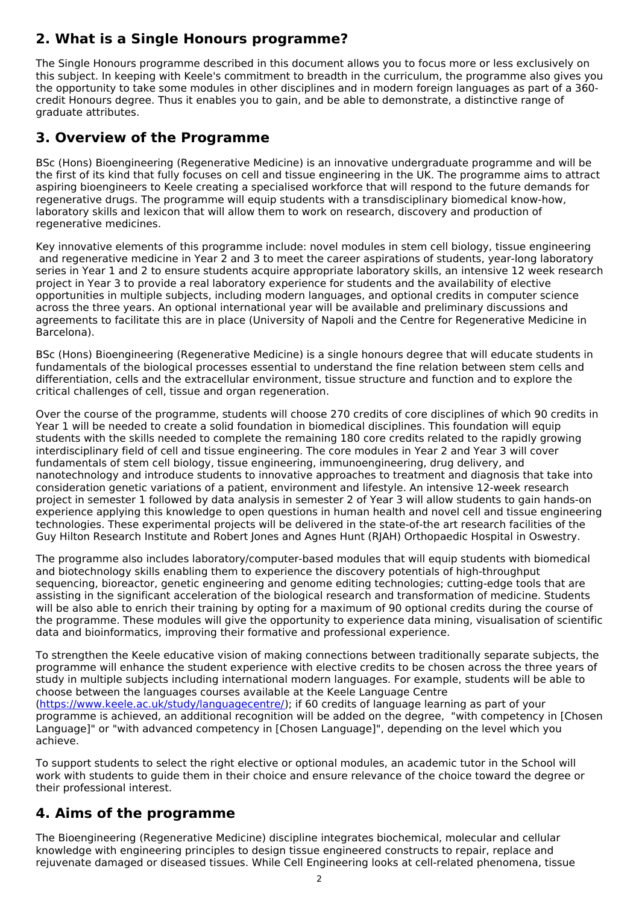# **2. What is a Single Honours programme?**

The Single Honours programme described in this document allows you to focus more or less exclusively on this subject. In keeping with Keele's commitment to breadth in the curriculum, the programme also gives you the opportunity to take some modules in other disciplines and in modern foreign languages as part of a 360 credit Honours degree. Thus it enables you to gain, and be able to demonstrate, a distinctive range of graduate attributes.

# **3. Overview of the Programme**

BSc (Hons) Bioengineering (Regenerative Medicine) is an innovative undergraduate programme and will be the first of its kind that fully focuses on cell and tissue engineering in the UK. The programme aims to attract aspiring bioengineers to Keele creating a specialised workforce that will respond to the future demands for regenerative drugs. The programme will equip students with a transdisciplinary biomedical know-how, laboratory skills and lexicon that will allow them to work on research, discovery and production of regenerative medicines.

Key innovative elements of this programme include: novel modules in stem cell biology, tissue engineering and regenerative medicine in Year 2 and 3 to meet the career aspirations of students, year-long laboratory series in Year 1 and 2 to ensure students acquire appropriate laboratory skills, an intensive 12 week research project in Year 3 to provide a real laboratory experience for students and the availability of elective opportunities in multiple subjects, including modern languages, and optional credits in computer science across the three years. An optional international year will be available and preliminary discussions and agreements to facilitate this are in place (University of Napoli and the Centre for Regenerative Medicine in Barcelona).

BSc (Hons) Bioengineering (Regenerative Medicine) is a single honours degree that will educate students in fundamentals of the biological processes essential to understand the fine relation between stem cells and differentiation, cells and the extracellular environment, tissue structure and function and to explore the critical challenges of cell, tissue and organ regeneration.

Over the course of the programme, students will choose 270 credits of core disciplines of which 90 credits in Year 1 will be needed to create a solid foundation in biomedical disciplines. This foundation will equip students with the skills needed to complete the remaining 180 core credits related to the rapidly growing interdisciplinary field of cell and tissue engineering. The core modules in Year 2 and Year 3 will cover fundamentals of stem cell biology, tissue engineering, immunoengineering, drug delivery, and nanotechnology and introduce students to innovative approaches to treatment and diagnosis that take into consideration genetic variations of a patient, environment and lifestyle. An intensive 12-week research project in semester 1 followed by data analysis in semester 2 of Year 3 will allow students to gain hands-on experience applying this knowledge to open questions in human health and novel cell and tissue engineering technologies. These experimental projects will be delivered in the state-of-the art research facilities of the Guy Hilton Research Institute and Robert Jones and Agnes Hunt (RJAH) Orthopaedic Hospital in Oswestry.

The programme also includes laboratory/computer-based modules that will equip students with biomedical and biotechnology skills enabling them to experience the discovery potentials of high-throughput sequencing, bioreactor, genetic engineering and genome editing technologies; cutting-edge tools that are assisting in the significant acceleration of the biological research and transformation of medicine. Students will be also able to enrich their training by opting for a maximum of 90 optional credits during the course of the programme. These modules will give the opportunity to experience data mining, visualisation of scientific data and bioinformatics, improving their formative and professional experience.

To strengthen the Keele educative vision of making connections between traditionally separate subjects, the programme will enhance the student experience with elective credits to be chosen across the three years of study in multiple subjects including international modern languages. For example, students will be able to choose between the languages courses available at the Keele Language Centre [\(https://www.keele.ac.uk/study/languagecentre/\)](https://www.keele.ac.uk/study/languagecentre/); if 60 credits of language learning as part of your programme is achieved, an additional recognition will be added on the degree, "with competency in [Chosen Language]" or "with advanced competency in [Chosen Language]", depending on the level which you achieve.

To support students to select the right elective or optional modules, an academic tutor in the School will work with students to guide them in their choice and ensure relevance of the choice toward the degree or their professional interest.

# **4. Aims of the programme**

The Bioengineering (Regenerative Medicine) discipline integrates biochemical, molecular and cellular knowledge with engineering principles to design tissue engineered constructs to repair, replace and rejuvenate damaged or diseased tissues. While Cell Engineering looks at cell-related phenomena, tissue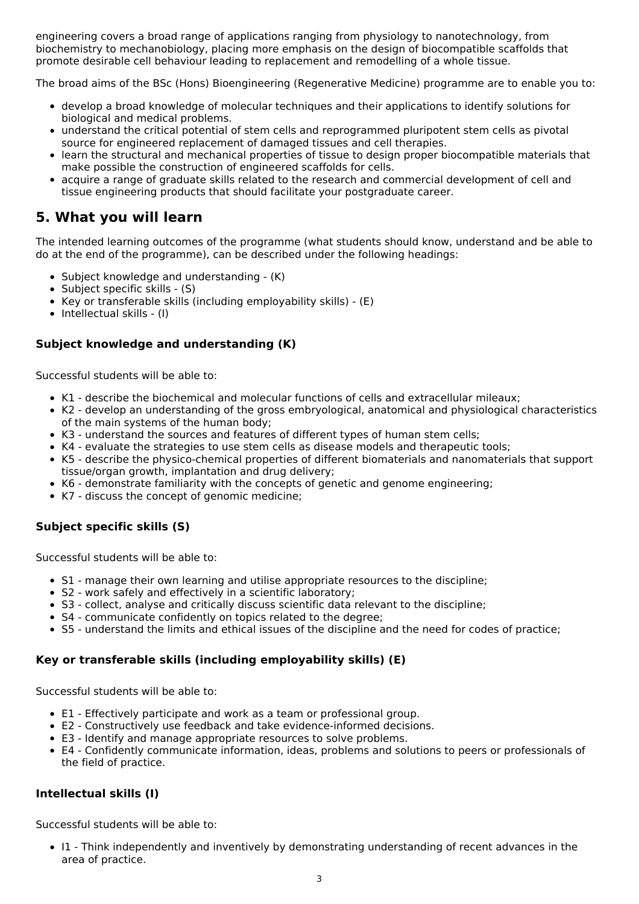engineering covers a broad range of applications ranging from physiology to nanotechnology, from biochemistry to mechanobiology, placing more emphasis on the design of biocompatible scaffolds that promote desirable cell behaviour leading to replacement and remodelling of a whole tissue.

The broad aims of the BSc (Hons) Bioengineering (Regenerative Medicine) programme are to enable you to:

- develop a broad knowledge of molecular techniques and their applications to identify solutions for biological and medical problems.
- understand the critical potential of stem cells and reprogrammed pluripotent stem cells as pivotal source for engineered replacement of damaged tissues and cell therapies.
- learn the structural and mechanical properties of tissue to design proper biocompatible materials that make possible the construction of engineered scaffolds for cells.
- acquire a range of graduate skills related to the research and commercial development of cell and tissue engineering products that should facilitate your postgraduate career.

# **5. What you will learn**

The intended learning outcomes of the programme (what students should know, understand and be able to do at the end of the programme), can be described under the following headings:

- Subject knowledge and understanding (K)
- Subject specific skills (S)
- Key or transferable skills (including employability skills) (E)
- Intellectual skills (I)

## **Subject knowledge and understanding (K)**

Successful students will be able to:

- K1 describe the biochemical and molecular functions of cells and extracellular mileaux;
- K2 develop an understanding of the gross embryological, anatomical and physiological characteristics of the main systems of the human body;
- K3 understand the sources and features of different types of human stem cells;
- K4 evaluate the strategies to use stem cells as disease models and therapeutic tools;
- K5 describe the physico-chemical properties of different biomaterials and nanomaterials that support tissue/organ growth, implantation and drug delivery;
- K6 demonstrate familiarity with the concepts of genetic and genome engineering;
- K7 discuss the concept of genomic medicine;

## **Subject specific skills (S)**

Successful students will be able to:

- S1 manage their own learning and utilise appropriate resources to the discipline;
- S2 work safely and effectively in a scientific laboratory;
- S3 collect, analyse and critically discuss scientific data relevant to the discipline;
- S4 communicate confidently on topics related to the degree;
- S5 understand the limits and ethical issues of the discipline and the need for codes of practice;

### **Key or transferable skills (including employability skills) (E)**

Successful students will be able to:

- E1 Effectively participate and work as a team or professional group.
- E2 Constructively use feedback and take evidence-informed decisions.
- E3 Identify and manage appropriate resources to solve problems.
- E4 Confidently communicate information, ideas, problems and solutions to peers or professionals of the field of practice.

## **Intellectual skills (I)**

Successful students will be able to:

I1 - Think independently and inventively by demonstrating understanding of recent advances in the area of practice.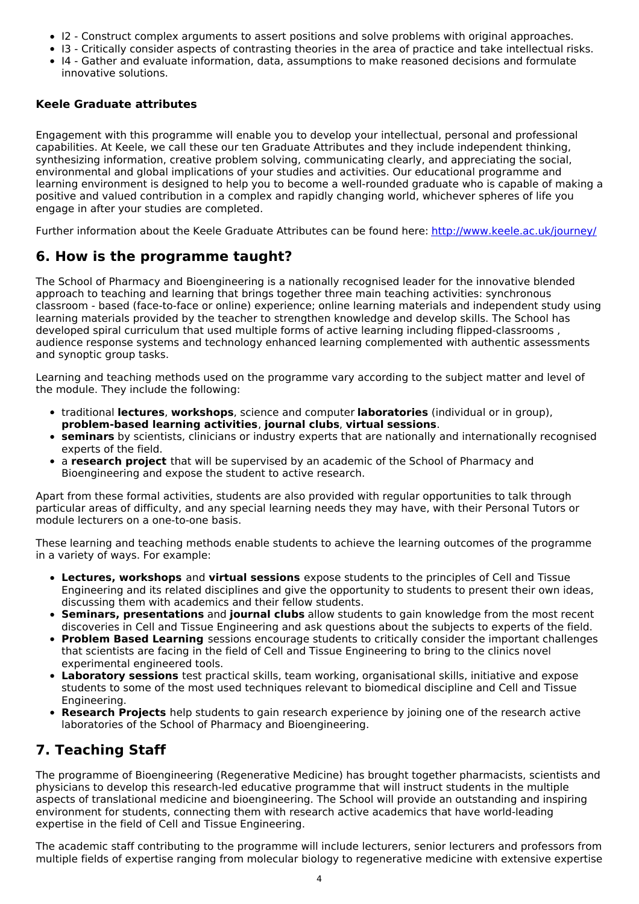- I2 Construct complex arguments to assert positions and solve problems with original approaches.
- I3 Critically consider aspects of contrasting theories in the area of practice and take intellectual risks. I4 - Gather and evaluate information, data, assumptions to make reasoned decisions and formulate innovative solutions.

### **Keele Graduate attributes**

Engagement with this programme will enable you to develop your intellectual, personal and professional capabilities. At Keele, we call these our ten Graduate Attributes and they include independent thinking, synthesizing information, creative problem solving, communicating clearly, and appreciating the social, environmental and global implications of your studies and activities. Our educational programme and learning environment is designed to help you to become a well-rounded graduate who is capable of making a positive and valued contribution in a complex and rapidly changing world, whichever spheres of life you engage in after your studies are completed.

Further information about the Keele Graduate Attributes can be found here: <http://www.keele.ac.uk/journey/>

# **6. How is the programme taught?**

The School of Pharmacy and Bioengineering is a nationally recognised leader for the innovative blended approach to teaching and learning that brings together three main teaching activities: synchronous classroom - based (face-to-face or online) experience; online learning materials and independent study using learning materials provided by the teacher to strengthen knowledge and develop skills. The School has developed spiral curriculum that used multiple forms of active learning including flipped-classrooms , audience response systems and technology enhanced learning complemented with authentic assessments and synoptic group tasks.

Learning and teaching methods used on the programme vary according to the subject matter and level of the module. They include the following:

- traditional **lectures**, **workshops**, science and computer **laboratories** (individual or in group), **problem-based learning activities**, **journal clubs**, **virtual sessions**.
- **seminars** by scientists, clinicians or industry experts that are nationally and internationally recognised experts of the field.
- a **research project** that will be supervised by an academic of the School of Pharmacy and Bioengineering and expose the student to active research.

Apart from these formal activities, students are also provided with regular opportunities to talk through particular areas of difficulty, and any special learning needs they may have, with their Personal Tutors or module lecturers on a one-to-one basis.

These learning and teaching methods enable students to achieve the learning outcomes of the programme in a variety of ways. For example:

- **Lectures, workshops** and **virtual sessions** expose students to the principles of Cell and Tissue Engineering and its related disciplines and give the opportunity to students to present their own ideas, discussing them with academics and their fellow students.
- **Seminars, presentations** and **journal clubs** allow students to gain knowledge from the most recent discoveries in Cell and Tissue Engineering and ask questions about the subjects to experts of the field.
- **Problem Based Learning** sessions encourage students to critically consider the important challenges that scientists are facing in the field of Cell and Tissue Engineering to bring to the clinics novel experimental engineered tools.
- **Laboratory sessions** test practical skills, team working, organisational skills, initiative and expose students to some of the most used techniques relevant to biomedical discipline and Cell and Tissue Engineering.
- **Research Projects** help students to gain research experience by joining one of the research active laboratories of the School of Pharmacy and Bioengineering.

# **7. Teaching Staff**

The programme of Bioengineering (Regenerative Medicine) has brought together pharmacists, scientists and physicians to develop this research-led educative programme that will instruct students in the multiple aspects of translational medicine and bioengineering. The School will provide an outstanding and inspiring environment for students, connecting them with research active academics that have world-leading expertise in the field of Cell and Tissue Engineering.

The academic staff contributing to the programme will include lecturers, senior lecturers and professors from multiple fields of expertise ranging from molecular biology to regenerative medicine with extensive expertise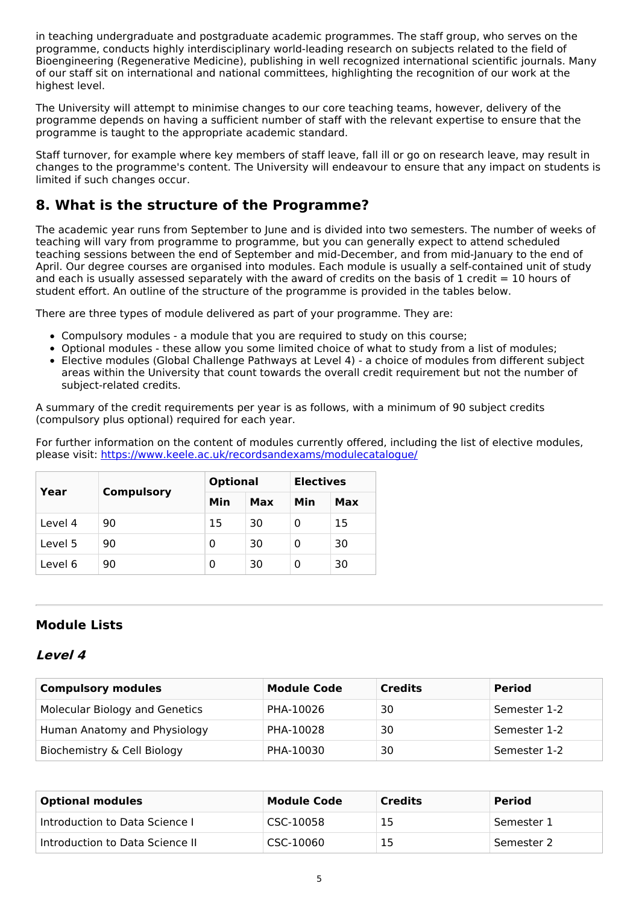in teaching undergraduate and postgraduate academic programmes. The staff group, who serves on the programme, conducts highly interdisciplinary world-leading research on subjects related to the field of Bioengineering (Regenerative Medicine), publishing in well recognized international scientific journals. Many of our staff sit on international and national committees, highlighting the recognition of our work at the highest level.

The University will attempt to minimise changes to our core teaching teams, however, delivery of the programme depends on having a sufficient number of staff with the relevant expertise to ensure that the programme is taught to the appropriate academic standard.

Staff turnover, for example where key members of staff leave, fall ill or go on research leave, may result in changes to the programme's content. The University will endeavour to ensure that any impact on students is limited if such changes occur.

# **8. What is the structure of the Programme?**

The academic year runs from September to June and is divided into two semesters. The number of weeks of teaching will vary from programme to programme, but you can generally expect to attend scheduled teaching sessions between the end of September and mid-December, and from mid-January to the end of April. Our degree courses are organised into modules. Each module is usually a self-contained unit of study and each is usually assessed separately with the award of credits on the basis of 1 credit  $= 10$  hours of student effort. An outline of the structure of the programme is provided in the tables below.

There are three types of module delivered as part of your programme. They are:

- Compulsory modules a module that you are required to study on this course;
- Optional modules these allow you some limited choice of what to study from a list of modules;
- Elective modules (Global Challenge Pathways at Level 4) a choice of modules from different subject areas within the University that count towards the overall credit requirement but not the number of subject-related credits.

A summary of the credit requirements per year is as follows, with a minimum of 90 subject credits (compulsory plus optional) required for each year.

For further information on the content of modules currently offered, including the list of elective modules, please visit: <https://www.keele.ac.uk/recordsandexams/modulecatalogue/>

| Year    | <b>Compulsory</b> | <b>Optional</b> |     | <b>Electives</b> |     |
|---------|-------------------|-----------------|-----|------------------|-----|
|         |                   | Min             | Max | Min              | Max |
| Level 4 | 90                | 15              | 30  |                  | 15  |
| Level 5 | 90                | 0               | 30  | 0                | 30  |
| Level 6 | 90                | 0               | 30  | 0                | 30  |

## **Module Lists**

### **Level 4**

| <b>Compulsory modules</b>      | <b>Module Code</b> | <b>Credits</b> | <b>Period</b> |
|--------------------------------|--------------------|----------------|---------------|
| Molecular Biology and Genetics | PHA-10026          | 30             | Semester 1-2  |
| Human Anatomy and Physiology   | PHA-10028          | 30             | Semester 1-2  |
| Biochemistry & Cell Biology    | PHA-10030          | 30             | Semester 1-2  |

| <b>Optional modules</b>         | <b>Module Code</b> | <b>Credits</b> | <b>Period</b> |
|---------------------------------|--------------------|----------------|---------------|
| Introduction to Data Science I  | CSC-10058          | 15             | Semester 1    |
| Introduction to Data Science II | CSC-10060          | 15             | Semester 2    |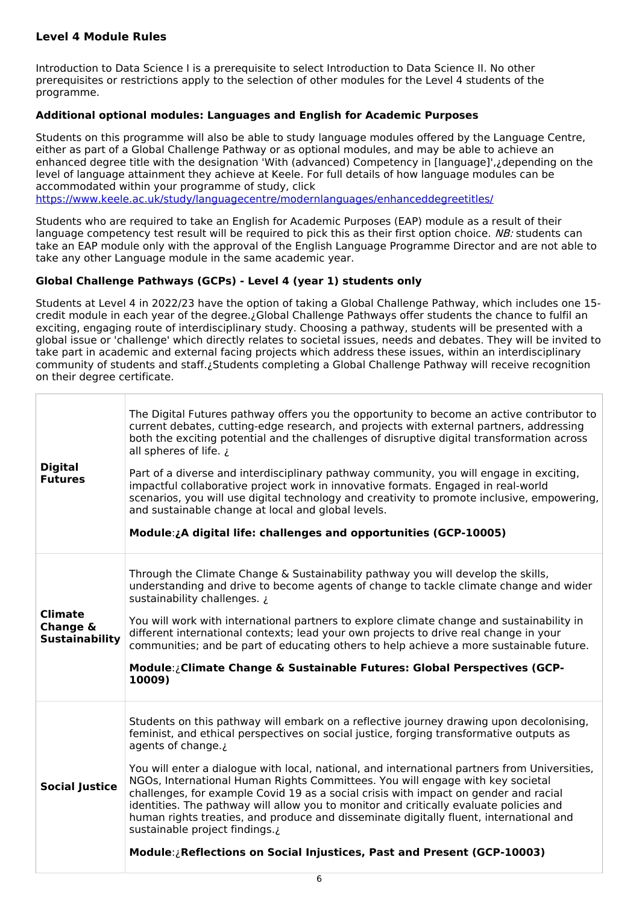## **Level 4 Module Rules**

Introduction to Data Science I is a prerequisite to select Introduction to Data Science II. No other prerequisites or restrictions apply to the selection of other modules for the Level 4 students of the programme.

#### **Additional optional modules: Languages and English for Academic Purposes**

Students on this programme will also be able to study language modules offered by the Language Centre, either as part of a Global Challenge Pathway or as optional modules, and may be able to achieve an enhanced degree title with the designation 'With (advanced) Competency in [language]',¿depending on the level of language attainment they achieve at Keele. For full details of how language modules can be accommodated within your programme of study, click

<https://www.keele.ac.uk/study/languagecentre/modernlanguages/enhanceddegreetitles/>

Students who are required to take an English for Academic Purposes (EAP) module as a result of their language competency test result will be required to pick this as their first option choice. NB: students can take an EAP module only with the approval of the English Language Programme Director and are not able to take any other Language module in the same academic year.

### **Global Challenge Pathways (GCPs) - Level 4 (year 1) students only**

Students at Level 4 in 2022/23 have the option of taking a Global Challenge Pathway, which includes one 15 credit module in each year of the degree.¿Global Challenge Pathways offer students the chance to fulfil an exciting, engaging route of interdisciplinary study. Choosing a pathway, students will be presented with a global issue or 'challenge' which directly relates to societal issues, needs and debates. They will be invited to take part in academic and external facing projects which address these issues, within an interdisciplinary community of students and staff.¿Students completing a Global Challenge Pathway will receive recognition on their degree certificate.

| <b>Digital</b><br><b>Futures</b>                    | The Digital Futures pathway offers you the opportunity to become an active contributor to<br>current debates, cutting-edge research, and projects with external partners, addressing<br>both the exciting potential and the challenges of disruptive digital transformation across<br>all spheres of life. ¿<br>Part of a diverse and interdisciplinary pathway community, you will engage in exciting,<br>impactful collaborative project work in innovative formats. Engaged in real-world<br>scenarios, you will use digital technology and creativity to promote inclusive, empowering,<br>and sustainable change at local and global levels.<br>Module:¿A digital life: challenges and opportunities (GCP-10005)                                                              |
|-----------------------------------------------------|------------------------------------------------------------------------------------------------------------------------------------------------------------------------------------------------------------------------------------------------------------------------------------------------------------------------------------------------------------------------------------------------------------------------------------------------------------------------------------------------------------------------------------------------------------------------------------------------------------------------------------------------------------------------------------------------------------------------------------------------------------------------------------|
| <b>Climate</b><br>Change &<br><b>Sustainability</b> | Through the Climate Change & Sustainability pathway you will develop the skills,<br>understanding and drive to become agents of change to tackle climate change and wider<br>sustainability challenges. ¿<br>You will work with international partners to explore climate change and sustainability in<br>different international contexts; lead your own projects to drive real change in your<br>communities; and be part of educating others to help achieve a more sustainable future.<br>Module:¿Climate Change & Sustainable Futures: Global Perspectives (GCP-<br>10009)                                                                                                                                                                                                    |
| <b>Social Justice</b>                               | Students on this pathway will embark on a reflective journey drawing upon decolonising,<br>feminist, and ethical perspectives on social justice, forging transformative outputs as<br>agents of change.<br>You will enter a dialogue with local, national, and international partners from Universities,<br>NGOs, International Human Rights Committees. You will engage with key societal<br>challenges, for example Covid 19 as a social crisis with impact on gender and racial<br>identities. The pathway will allow you to monitor and critically evaluate policies and<br>human rights treaties, and produce and disseminate digitally fluent, international and<br>sustainable project findings.¿<br>Module:¿Reflections on Social Injustices, Past and Present (GCP-10003) |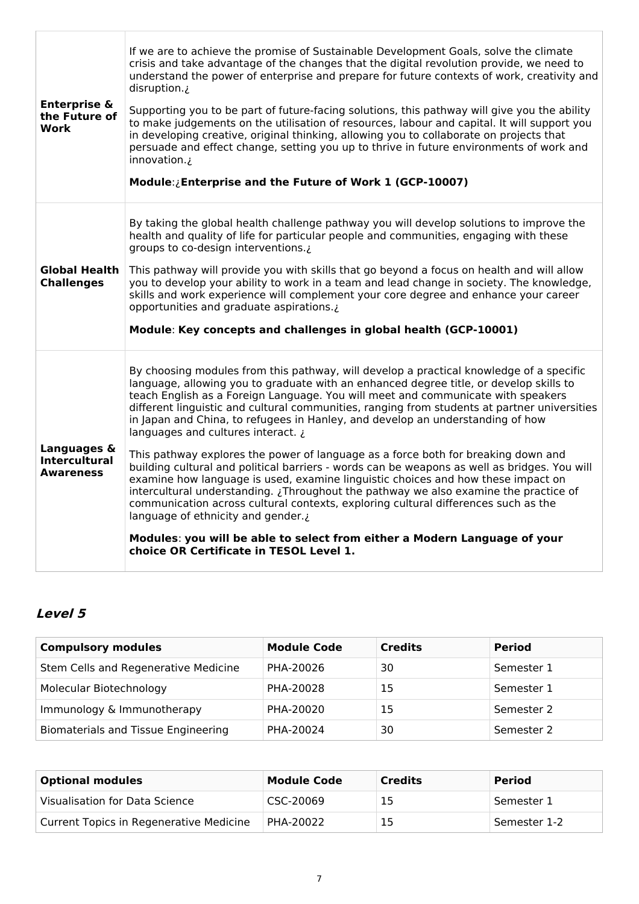| <b>Enterprise &amp;</b><br>the Future of<br>Work        | If we are to achieve the promise of Sustainable Development Goals, solve the climate<br>crisis and take advantage of the changes that the digital revolution provide, we need to<br>understand the power of enterprise and prepare for future contexts of work, creativity and<br>disruption.¿<br>Supporting you to be part of future-facing solutions, this pathway will give you the ability<br>to make judgements on the utilisation of resources, labour and capital. It will support you<br>in developing creative, original thinking, allowing you to collaborate on projects that<br>persuade and effect change, setting you up to thrive in future environments of work and<br>innovation.<br>Module:¿Enterprise and the Future of Work 1 (GCP-10007)                                                                                                                                                                                                                                                                                                                                                      |
|---------------------------------------------------------|--------------------------------------------------------------------------------------------------------------------------------------------------------------------------------------------------------------------------------------------------------------------------------------------------------------------------------------------------------------------------------------------------------------------------------------------------------------------------------------------------------------------------------------------------------------------------------------------------------------------------------------------------------------------------------------------------------------------------------------------------------------------------------------------------------------------------------------------------------------------------------------------------------------------------------------------------------------------------------------------------------------------------------------------------------------------------------------------------------------------|
| <b>Global Health</b><br><b>Challenges</b>               | By taking the global health challenge pathway you will develop solutions to improve the<br>health and quality of life for particular people and communities, engaging with these<br>groups to co-design interventions.¿<br>This pathway will provide you with skills that go beyond a focus on health and will allow<br>you to develop your ability to work in a team and lead change in society. The knowledge,<br>skills and work experience will complement your core degree and enhance your career<br>opportunities and graduate aspirations.¿<br>Module: Key concepts and challenges in global health (GCP-10001)                                                                                                                                                                                                                                                                                                                                                                                                                                                                                            |
| Languages &<br><b>Intercultural</b><br><b>Awareness</b> | By choosing modules from this pathway, will develop a practical knowledge of a specific<br>language, allowing you to graduate with an enhanced degree title, or develop skills to<br>teach English as a Foreign Language. You will meet and communicate with speakers<br>different linguistic and cultural communities, ranging from students at partner universities<br>in Japan and China, to refugees in Hanley, and develop an understanding of how<br>languages and cultures interact. ¿<br>This pathway explores the power of language as a force both for breaking down and<br>building cultural and political barriers - words can be weapons as well as bridges. You will<br>examine how language is used, examine linguistic choices and how these impact on<br>intercultural understanding. ¿Throughout the pathway we also examine the practice of<br>communication across cultural contexts, exploring cultural differences such as the<br>language of ethnicity and gender.¿<br>Modules: you will be able to select from either a Modern Language of your<br>choice OR Certificate in TESOL Level 1. |

# **Level 5**

| <b>Compulsory modules</b>            | <b>Module Code</b> | <b>Credits</b> | <b>Period</b> |
|--------------------------------------|--------------------|----------------|---------------|
| Stem Cells and Regenerative Medicine | PHA-20026          | 30             | Semester 1    |
| Molecular Biotechnology              | PHA-20028          | 15             | Semester 1    |
| Immunology & Immunotherapy           | PHA-20020          | 15             | Semester 2    |
| Biomaterials and Tissue Engineering  | PHA-20024          | 30             | Semester 2    |

| <b>Optional modules</b>                 | <b>Module Code</b> | <b>Credits</b> | <b>Period</b> |
|-----------------------------------------|--------------------|----------------|---------------|
| Visualisation for Data Science          | CSC-20069          | 15             | Semester 1    |
| Current Topics in Regenerative Medicine | PHA-20022          | 15             | Semester 1-2  |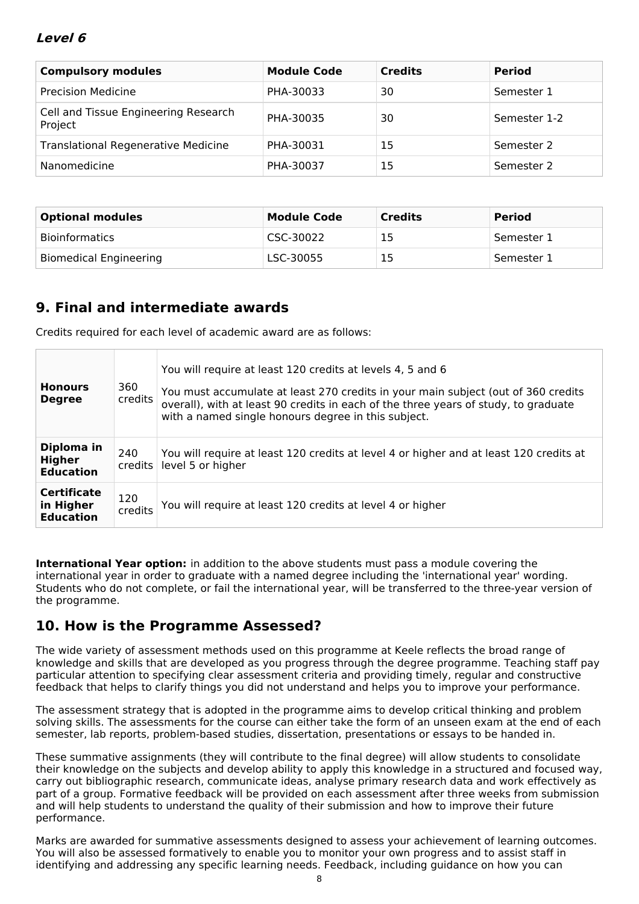## **Level 6**

| <b>Compulsory modules</b>                       | <b>Module Code</b> | <b>Credits</b> | <b>Period</b> |
|-------------------------------------------------|--------------------|----------------|---------------|
| <b>Precision Medicine</b>                       | PHA-30033          | 30             | Semester 1    |
| Cell and Tissue Engineering Research<br>Project | PHA-30035          | 30             | Semester 1-2  |
| <b>Translational Regenerative Medicine</b>      | PHA-30031          | 15             | Semester 2    |
| Nanomedicine                                    | PHA-30037          | 15             | Semester 2    |

| <b>Optional modules</b>       | <b>Module Code</b> | <b>Credits</b> | <b>Period</b> |
|-------------------------------|--------------------|----------------|---------------|
| Bioinformatics                | CSC-30022          | 15             | Semester 1    |
| <b>Biomedical Engineering</b> | LSC-30055          | 15             | Semester 1    |

# **9. Final and intermediate awards**

Credits required for each level of academic award are as follows:

| <b>Honours</b><br><b>Degree</b>                     | 360<br>credits        | You will require at least 120 credits at levels 4, 5 and 6<br>You must accumulate at least 270 credits in your main subject (out of 360 credits<br>overall), with at least 90 credits in each of the three years of study, to graduate<br>with a named single honours degree in this subject. |
|-----------------------------------------------------|-----------------------|-----------------------------------------------------------------------------------------------------------------------------------------------------------------------------------------------------------------------------------------------------------------------------------------------|
| Diploma in<br><b>Higher</b><br><b>Education</b>     | 240<br>$c$ redits $ $ | You will require at least 120 credits at level 4 or higher and at least 120 credits at<br>level 5 or higher                                                                                                                                                                                   |
| <b>Certificate</b><br>in Higher<br><b>Education</b> | 120<br>credits        | You will require at least 120 credits at level 4 or higher                                                                                                                                                                                                                                    |

**International Year option:** in addition to the above students must pass a module covering the international year in order to graduate with a named degree including the 'international year' wording. Students who do not complete, or fail the international year, will be transferred to the three-year version of the programme.

# **10. How is the Programme Assessed?**

The wide variety of assessment methods used on this programme at Keele reflects the broad range of knowledge and skills that are developed as you progress through the degree programme. Teaching staff pay particular attention to specifying clear assessment criteria and providing timely, regular and constructive feedback that helps to clarify things you did not understand and helps you to improve your performance.

The assessment strategy that is adopted in the programme aims to develop critical thinking and problem solving skills. The assessments for the course can either take the form of an unseen exam at the end of each semester, lab reports, problem-based studies, dissertation, presentations or essays to be handed in.

These summative assignments (they will contribute to the final degree) will allow students to consolidate their knowledge on the subjects and develop ability to apply this knowledge in a structured and focused way, carry out bibliographic research, communicate ideas, analyse primary research data and work effectively as part of a group. Formative feedback will be provided on each assessment after three weeks from submission and will help students to understand the quality of their submission and how to improve their future performance.

Marks are awarded for summative assessments designed to assess your achievement of learning outcomes. You will also be assessed formatively to enable you to monitor your own progress and to assist staff in identifying and addressing any specific learning needs. Feedback, including guidance on how you can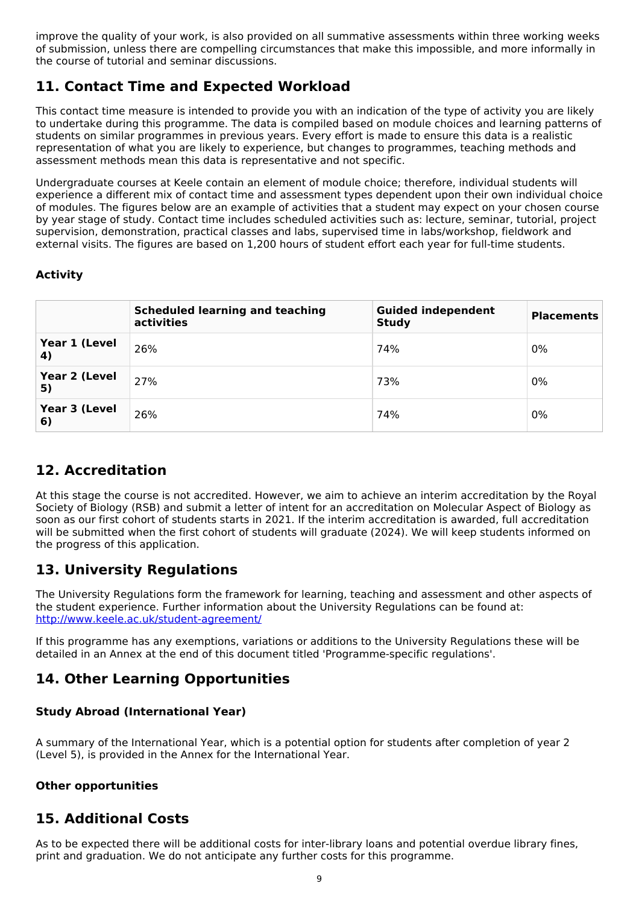improve the quality of your work, is also provided on all summative assessments within three working weeks of submission, unless there are compelling circumstances that make this impossible, and more informally in the course of tutorial and seminar discussions.

# **11. Contact Time and Expected Workload**

This contact time measure is intended to provide you with an indication of the type of activity you are likely to undertake during this programme. The data is compiled based on module choices and learning patterns of students on similar programmes in previous years. Every effort is made to ensure this data is a realistic representation of what you are likely to experience, but changes to programmes, teaching methods and assessment methods mean this data is representative and not specific.

Undergraduate courses at Keele contain an element of module choice; therefore, individual students will experience a different mix of contact time and assessment types dependent upon their own individual choice of modules. The figures below are an example of activities that a student may expect on your chosen course by year stage of study. Contact time includes scheduled activities such as: lecture, seminar, tutorial, project supervision, demonstration, practical classes and labs, supervised time in labs/workshop, fieldwork and external visits. The figures are based on 1,200 hours of student effort each year for full-time students.

## **Activity**

|                     | <b>Scheduled learning and teaching</b><br>activities | <b>Guided independent</b><br><b>Study</b> | <b>Placements</b> |
|---------------------|------------------------------------------------------|-------------------------------------------|-------------------|
| Year 1 (Level<br>4) | 26%                                                  | 74%                                       | 0%                |
| Year 2 (Level<br>5) | 27%                                                  | 73%                                       | 0%                |
| Year 3 (Level<br>6) | 26%                                                  | 74%                                       | 0%                |

# **12. Accreditation**

At this stage the course is not accredited. However, we aim to achieve an interim accreditation by the Royal Society of Biology (RSB) and submit a letter of intent for an accreditation on Molecular Aspect of Biology as soon as our first cohort of students starts in 2021. If the interim accreditation is awarded, full accreditation will be submitted when the first cohort of students will graduate (2024). We will keep students informed on the progress of this application.

# **13. University Regulations**

The University Regulations form the framework for learning, teaching and assessment and other aspects of the student experience. Further information about the University Regulations can be found at: <http://www.keele.ac.uk/student-agreement/>

If this programme has any exemptions, variations or additions to the University Regulations these will be detailed in an Annex at the end of this document titled 'Programme-specific regulations'.

# **14. Other Learning Opportunities**

## **Study Abroad (International Year)**

A summary of the International Year, which is a potential option for students after completion of year 2 (Level 5), is provided in the Annex for the International Year.

## **Other opportunities**

# **15. Additional Costs**

As to be expected there will be additional costs for inter-library loans and potential overdue library fines, print and graduation. We do not anticipate any further costs for this programme.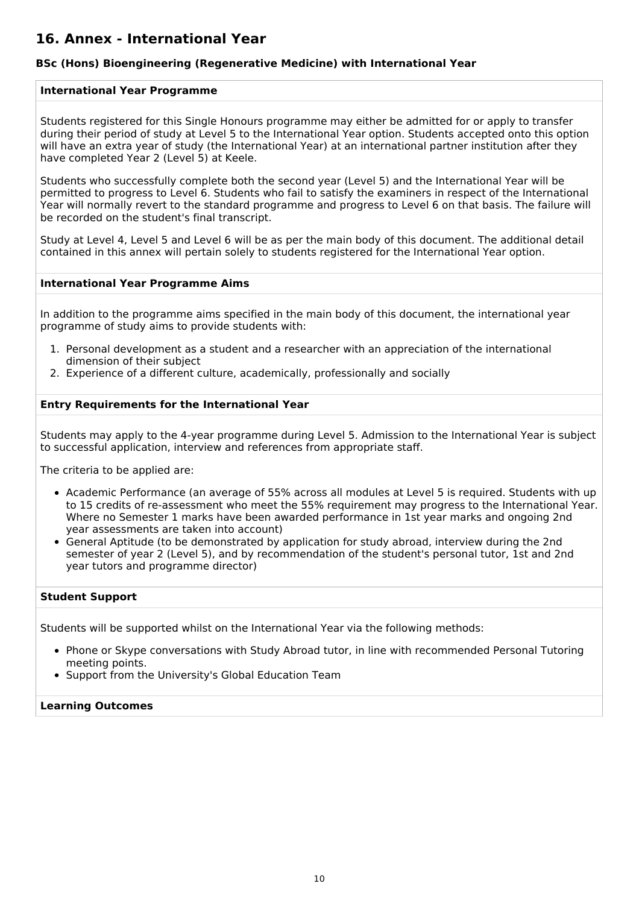# **16. Annex - International Year**

### **BSc (Hons) Bioengineering (Regenerative Medicine) with International Year**

#### **International Year Programme**

Students registered for this Single Honours programme may either be admitted for or apply to transfer during their period of study at Level 5 to the International Year option. Students accepted onto this option will have an extra year of study (the International Year) at an international partner institution after they have completed Year 2 (Level 5) at Keele.

Students who successfully complete both the second year (Level 5) and the International Year will be permitted to progress to Level 6. Students who fail to satisfy the examiners in respect of the International Year will normally revert to the standard programme and progress to Level 6 on that basis. The failure will be recorded on the student's final transcript.

Study at Level 4, Level 5 and Level 6 will be as per the main body of this document. The additional detail contained in this annex will pertain solely to students registered for the International Year option.

#### **International Year Programme Aims**

In addition to the programme aims specified in the main body of this document, the international year programme of study aims to provide students with:

- 1. Personal development as a student and a researcher with an appreciation of the international dimension of their subject
- 2. Experience of a different culture, academically, professionally and socially

#### **Entry Requirements for the International Year**

Students may apply to the 4-year programme during Level 5. Admission to the International Year is subject to successful application, interview and references from appropriate staff.

The criteria to be applied are:

- Academic Performance (an average of 55% across all modules at Level 5 is required. Students with up to 15 credits of re-assessment who meet the 55% requirement may progress to the International Year. Where no Semester 1 marks have been awarded performance in 1st year marks and ongoing 2nd year assessments are taken into account)
- General Aptitude (to be demonstrated by application for study abroad, interview during the 2nd semester of year 2 (Level 5), and by recommendation of the student's personal tutor, 1st and 2nd year tutors and programme director)

#### **Student Support**

Students will be supported whilst on the International Year via the following methods:

- Phone or Skype conversations with Study Abroad tutor, in line with recommended Personal Tutoring meeting points.
- Support from the University's Global Education Team

#### **Learning Outcomes**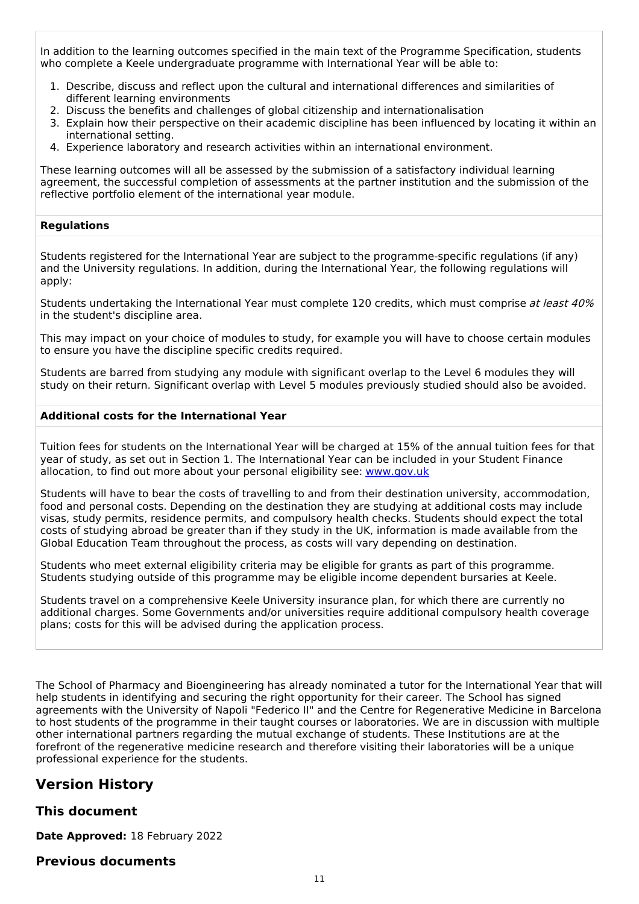In addition to the learning outcomes specified in the main text of the Programme Specification, students who complete a Keele undergraduate programme with International Year will be able to:

- 1. Describe, discuss and reflect upon the cultural and international differences and similarities of different learning environments
- 2. Discuss the benefits and challenges of global citizenship and internationalisation
- 3. Explain how their perspective on their academic discipline has been influenced by locating it within an international setting.
- 4. Experience laboratory and research activities within an international environment.

These learning outcomes will all be assessed by the submission of a satisfactory individual learning agreement, the successful completion of assessments at the partner institution and the submission of the reflective portfolio element of the international year module.

#### **Regulations**

Students registered for the International Year are subject to the programme-specific regulations (if any) and the University regulations. In addition, during the International Year, the following regulations will apply:

Students undertaking the International Year must complete 120 credits, which must comprise at least 40% in the student's discipline area.

This may impact on your choice of modules to study, for example you will have to choose certain modules to ensure you have the discipline specific credits required.

Students are barred from studying any module with significant overlap to the Level 6 modules they will study on their return. Significant overlap with Level 5 modules previously studied should also be avoided.

#### **Additional costs for the International Year**

Tuition fees for students on the International Year will be charged at 15% of the annual tuition fees for that year of study, as set out in Section 1. The International Year can be included in your Student Finance allocation, to find out more about your personal eligibility see: [www.gov.uk](http://www.gov.uk/)

Students will have to bear the costs of travelling to and from their destination university, accommodation, food and personal costs. Depending on the destination they are studying at additional costs may include visas, study permits, residence permits, and compulsory health checks. Students should expect the total costs of studying abroad be greater than if they study in the UK, information is made available from the Global Education Team throughout the process, as costs will vary depending on destination.

Students who meet external eligibility criteria may be eligible for grants as part of this programme. Students studying outside of this programme may be eligible income dependent bursaries at Keele.

Students travel on a comprehensive Keele University insurance plan, for which there are currently no additional charges. Some Governments and/or universities require additional compulsory health coverage plans; costs for this will be advised during the application process.

The School of Pharmacy and Bioengineering has already nominated a tutor for the International Year that will help students in identifying and securing the right opportunity for their career. The School has signed agreements with the University of Napoli "Federico II" and the Centre for Regenerative Medicine in Barcelona to host students of the programme in their taught courses or laboratories. We are in discussion with multiple other international partners regarding the mutual exchange of students. These Institutions are at the forefront of the regenerative medicine research and therefore visiting their laboratories will be a unique professional experience for the students.

## **Version History**

### **This document**

**Date Approved:** 18 February 2022

### **Previous documents**